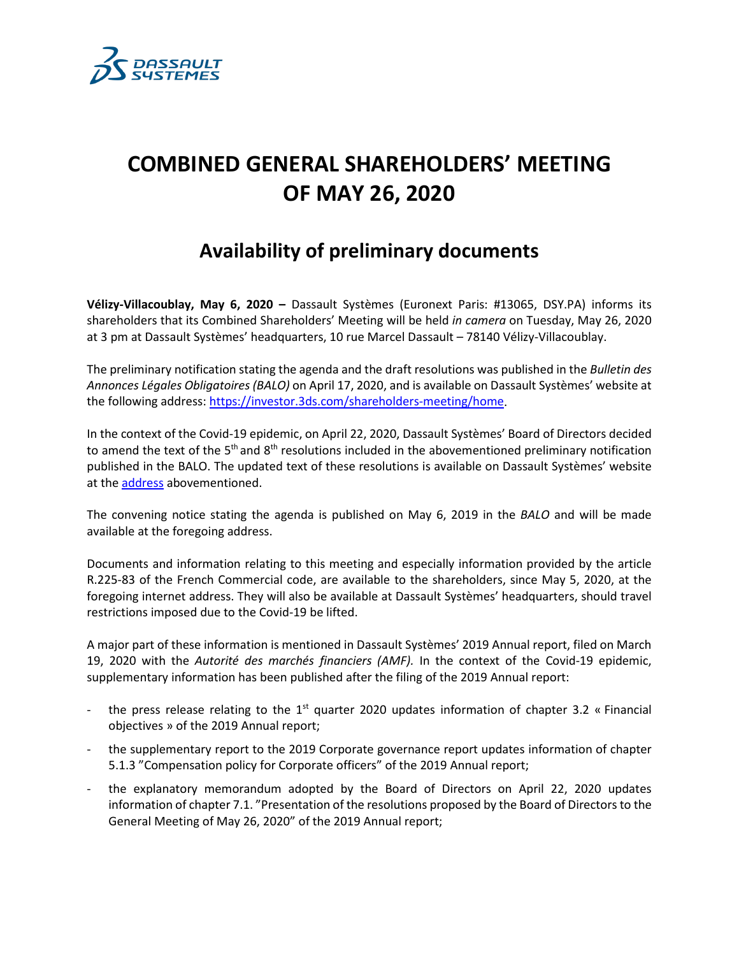

## **COMBINED GENERAL SHAREHOLDERS' MEETING OF MAY 26, 2020**

## **Availability of preliminary documents**

**Vélizy-Villacoublay, May 6, 2020 –** Dassault Systèmes (Euronext Paris: #13065, DSY.PA) informs its shareholders that its Combined Shareholders' Meeting will be held *in camera* on Tuesday, May 26, 2020 at 3 pm at Dassault Systèmes' headquarters, 10 rue Marcel Dassault – 78140 Vélizy-Villacoublay.

The preliminary notification stating the agenda and the draft resolutions was published in the *Bulletin des Annonces Légales Obligatoires (BALO)* on April 17, 2020, and is available on Dassault Systèmes' website at the following address[: https://investor.3ds.com/shareholders-meeting/home.](https://investor.3ds.com/shareholders-meeting/home)

In the context of the Covid-19 epidemic, on April 22, 2020, Dassault Systèmes' Board of Directors decided to amend the text of the  $5<sup>th</sup>$  and  $8<sup>th</sup>$  resolutions included in the abovementioned preliminary notification published in the BALO. The updated text of these resolutions is available on Dassault Systèmes' website at the **address** abovementioned.

The convening notice stating the agenda is published on May 6, 2019 in the *BALO* and will be made available at the foregoing address.

Documents and information relating to this meeting and especially information provided by the article R.225-83 of the French Commercial code, are available to the shareholders, since May 5, 2020, at the foregoing internet address. They will also be available at Dassault Systèmes' headquarters, should travel restrictions imposed due to the Covid-19 be lifted.

A major part of these information is mentioned in Dassault Systèmes' 2019 Annual report, filed on March 19, 2020 with the *Autorité des marchés financiers (AMF).* In the context of the Covid-19 epidemic, supplementary information has been published after the filing of the 2019 Annual report:

- the press release relating to the  $1<sup>st</sup>$  quarter 2020 updates information of chapter 3.2 « Financial objectives » of the 2019 Annual report;
- the supplementary report to the 2019 Corporate governance report updates information of chapter 5.1.3 "Compensation policy for Corporate officers" of the 2019 Annual report;
- the explanatory memorandum adopted by the Board of Directors on April 22, 2020 updates information of chapter 7.1. "Presentation of the resolutions proposed by the Board of Directors to the General Meeting of May 26, 2020" of the 2019 Annual report;